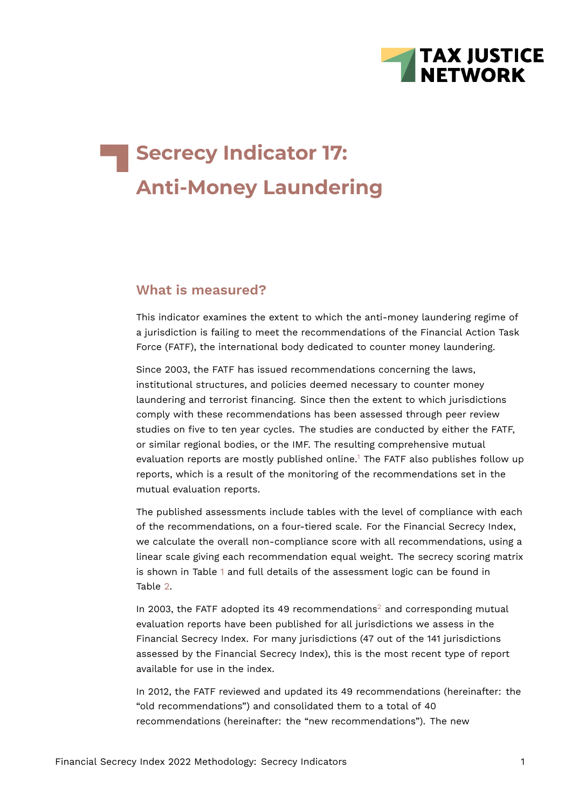

# **Secrecy Indicator 17: Anti-Money Laundering**

#### **What is measured?**

This indicator examines the extent to which the anti-money laundering regime of a jurisdiction is failing to meet the recommendations of the Financial Action Task Force (FATF), the international body dedicated to counter money laundering.

Since 2003, the FATF has issued recommendations concerning the laws, institutional structures, and policies deemed necessary to counter money laundering and terrorist financing. Since then the extent to which jurisdictions comply with these recommendations has been assessed through peer review studies on five to ten year cycles. The studies are conducted by either the FATF, or similar regional bodies, or the IMF. The resulting comprehensive mutual evaluation reports are mostly published online.<sup>[1](#page-6-0)</sup> The FATF also publishes follow up reports, which is a result of the monitoring of the recommendations set in the mutual evaluation reports.

<span id="page-0-0"></span>The published assessments include tables with the level of compliance with each of the recommendations, on a four-tiered scale. For the Financial Secrecy Index, we calculate the overall non-compliance score with all recommendations, using a linear scale giving each recommendation equal weight. The secrecy scoring matrix is shown in Table [1](#page-1-0) and full details of the assessment logic can be found in Table [2.](#page-4-0)

<span id="page-0-1"></span>In [2](#page-6-1)003, the FATF adopted its 49 recommendations<sup>2</sup> and corresponding mutual evaluation reports have been published for all jurisdictions we assess in the Financial Secrecy Index. For many jurisdictions (47 out of the 141 jurisdictions assessed by the Financial Secrecy Index), this is the most recent type of report available for use in the index.

In 2012, the FATF reviewed and updated its 49 recommendations (hereinafter: the "old recommendations") and consolidated them to a total of 40 recommendations (hereinafter: the "new recommendations"). The new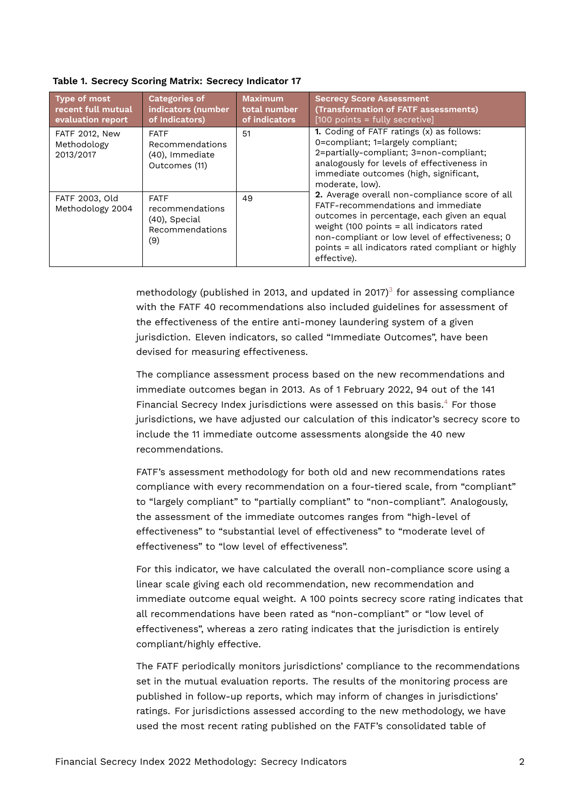| <b>Type of most</b><br>recent full mutual<br>evaluation report | <b>Categories of</b><br>indicators (number<br>of Indicators)                 | <b>Maximum</b><br>total number<br>of indicators | <b>Secrecy Score Assessment</b><br>(Transformation of FATF assessments)<br>$[100$ points = fully secretive]                                                                                                                                                                                            |
|----------------------------------------------------------------|------------------------------------------------------------------------------|-------------------------------------------------|--------------------------------------------------------------------------------------------------------------------------------------------------------------------------------------------------------------------------------------------------------------------------------------------------------|
| <b>FATF 2012, New</b><br>Methodology<br>2013/2017              | <b>FATF</b><br>Recommendations<br>(40), Immediate<br>Outcomes (11)           | 51                                              | 1. Coding of FATF ratings (x) as follows:<br>0=compliant; 1=largely compliant;<br>2=partially-compliant; 3=non-compliant;<br>analogously for levels of effectiveness in<br>immediate outcomes (high, significant,<br>moderate, low).                                                                   |
| FATF 2003, Old<br>Methodology 2004                             | <b>FATF</b><br>recommendations<br>$(40)$ , Special<br>Recommendations<br>(9) | 49                                              | 2. Average overall non-compliance score of all<br>FATF-recommendations and immediate<br>outcomes in percentage, each given an equal<br>weight (100 points = all indicators rated<br>non-compliant or low level of effectiveness; 0<br>points = all indicators rated compliant or highly<br>effective). |

<span id="page-1-0"></span>**Table 1. Secrecy Scoring Matrix: Secrecy Indicator 17**

<span id="page-1-1"></span>methodology (published in 201[3](#page-6-2), and updated in 2017) $3$  for assessing compliance with the FATF 40 recommendations also included guidelines for assessment of the effectiveness of the entire anti-money laundering system of a given jurisdiction. Eleven indicators, so called "Immediate Outcomes", have been devised for measuring effectiveness.

<span id="page-1-2"></span>The compliance assessment process based on the new recommendations and immediate outcomes began in 2013. As of 1 February 2022, 94 out of the 141 Financial Secrecy Index jurisdictions were assessed on this basis.<sup>[4](#page-6-3)</sup> For those jurisdictions, we have adjusted our calculation of this indicator's secrecy score to include the 11 immediate outcome assessments alongside the 40 new recommendations.

FATF's assessment methodology for both old and new recommendations rates compliance with every recommendation on a four-tiered scale, from "compliant" to "largely compliant" to "partially compliant" to "non-compliant". Analogously, the assessment of the immediate outcomes ranges from "high-level of effectiveness" to "substantial level of effectiveness" to "moderate level of effectiveness" to "low level of effectiveness".

For this indicator, we have calculated the overall non-compliance score using a linear scale giving each old recommendation, new recommendation and immediate outcome equal weight. A 100 points secrecy score rating indicates that all recommendations have been rated as "non-compliant" or "low level of effectiveness", whereas a zero rating indicates that the jurisdiction is entirely compliant/highly effective.

The FATF periodically monitors jurisdictions' compliance to the recommendations set in the mutual evaluation reports. The results of the monitoring process are published in follow-up reports, which may inform of changes in jurisdictions' ratings. For jurisdictions assessed according to the new methodology, we have used the most recent rating published on the FATF's consolidated table of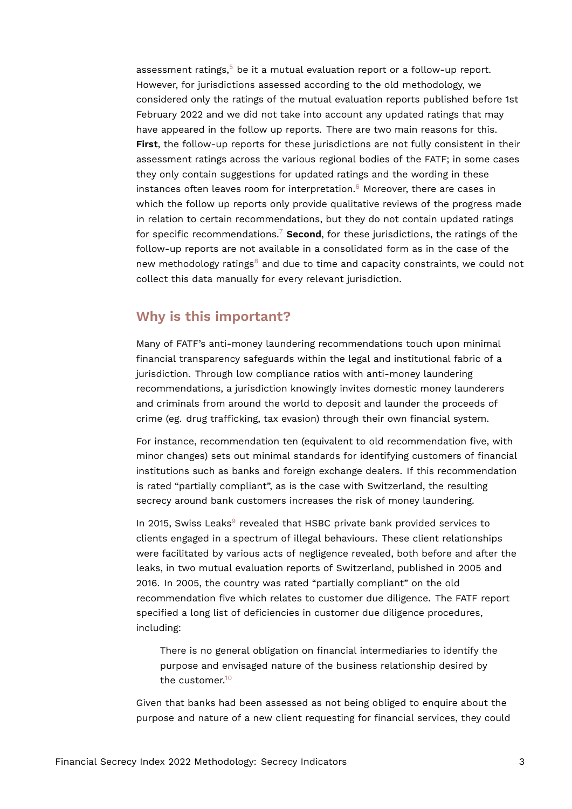<span id="page-2-1"></span><span id="page-2-0"></span>assessment ratings, $5$  be it a mutual evaluation report or a follow-up report. However, for jurisdictions assessed according to the old methodology, we considered only the ratings of the mutual evaluation reports published before 1st February 2022 and we did not take into account any updated ratings that may have appeared in the follow up reports. There are two main reasons for this. **First**, the follow-up reports for these jurisdictions are not fully consistent in their assessment ratings across the various regional bodies of the FATF; in some cases they only contain suggestions for updated ratings and the wording in these instances often leaves room for interpretation. $6$  Moreover, there are cases in which the follow up reports only provide qualitative reviews of the progress made in relation to certain recommendations, but they do not contain updated ratings for specific recommendations.[7](#page-6-6) **Second**, for these jurisdictions, the ratings of the follow-up reports are not available in a consolidated form as in the case of the new methodology ratings<sup>[8](#page-6-7)</sup> and due to time and capacity constraints, we could not collect this data manually for every relevant jurisdiction.

#### <span id="page-2-3"></span><span id="page-2-2"></span>**Why is this important?**

Many of FATF's anti-money laundering recommendations touch upon minimal financial transparency safeguards within the legal and institutional fabric of a jurisdiction. Through low compliance ratios with anti-money laundering recommendations, a jurisdiction knowingly invites domestic money launderers and criminals from around the world to deposit and launder the proceeds of crime (eg. drug trafficking, tax evasion) through their own financial system.

For instance, recommendation ten (equivalent to old recommendation five, with minor changes) sets out minimal standards for identifying customers of financial institutions such as banks and foreign exchange dealers. If this recommendation is rated "partially compliant", as is the case with Switzerland, the resulting secrecy around bank customers increases the risk of money laundering.

<span id="page-2-4"></span>In 2015, Swiss Leaks<sup>[9](#page-6-8)</sup> revealed that HSBC private bank provided services to clients engaged in a spectrum of illegal behaviours. These client relationships were facilitated by various acts of negligence revealed, both before and after the leaks, in two mutual evaluation reports of Switzerland, published in 2005 and 2016. In 2005, the country was rated "partially compliant" on the old recommendation five which relates to customer due diligence. The FATF report specified a long list of deficiencies in customer due diligence procedures, including:

<span id="page-2-5"></span>There is no general obligation on financial intermediaries to identify the purpose and envisaged nature of the business relationship desired by the customer.[10](#page-6-9)

Given that banks had been assessed as not being obliged to enquire about the purpose and nature of a new client requesting for financial services, they could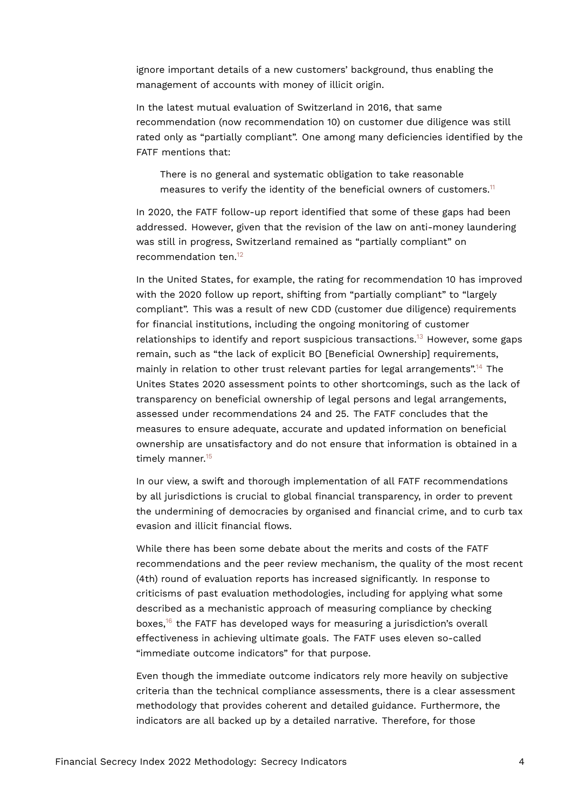ignore important details of a new customers' background, thus enabling the management of accounts with money of illicit origin.

In the latest mutual evaluation of Switzerland in 2016, that same recommendation (now recommendation 10) on customer due diligence was still rated only as "partially compliant". One among many deficiencies identified by the FATF mentions that:

<span id="page-3-0"></span>There is no general and systematic obligation to take reasonable measures to verify the identity of the beneficial owners of customers.<sup>[11](#page-7-0)</sup>

In 2020, the FATF follow-up report identified that some of these gaps had been addressed. However, given that the revision of the law on anti-money laundering was still in progress, Switzerland remained as "partially compliant" on recommendation ten.<sup>[12](#page-7-1)</sup>

<span id="page-3-3"></span><span id="page-3-2"></span><span id="page-3-1"></span>In the United States, for example, the rating for recommendation 10 has improved with the 2020 follow up report, shifting from "partially compliant" to "largely compliant". This was a result of new CDD (customer due diligence) requirements for financial institutions, including the ongoing monitoring of customer relationships to identify and report suspicious transactions.<sup>[13](#page-7-2)</sup> However, some gaps remain, such as "the lack of explicit BO [Beneficial Ownership] requirements, mainly in relation to other trust relevant parties for legal arrangements".<sup>[14](#page-7-3)</sup> The Unites States 2020 assessment points to other shortcomings, such as the lack of transparency on beneficial ownership of legal persons and legal arrangements, assessed under recommendations 24 and 25. The FATF concludes that the measures to ensure adequate, accurate and updated information on beneficial ownership are unsatisfactory and do not ensure that information is obtained in a timely manner.<sup>[15](#page-7-4)</sup>

<span id="page-3-4"></span>In our view, a swift and thorough implementation of all FATF recommendations by all jurisdictions is crucial to global financial transparency, in order to prevent the undermining of democracies by organised and financial crime, and to curb tax evasion and illicit financial flows.

While there has been some debate about the merits and costs of the FATF recommendations and the peer review mechanism, the quality of the most recent (4th) round of evaluation reports has increased significantly. In response to criticisms of past evaluation methodologies, including for applying what some described as a mechanistic approach of measuring compliance by checking boxes,<sup>[16](#page-7-5)</sup> the FATF has developed ways for measuring a jurisdiction's overall effectiveness in achieving ultimate goals. The FATF uses eleven so-called "immediate outcome indicators" for that purpose.

<span id="page-3-5"></span>Even though the immediate outcome indicators rely more heavily on subjective criteria than the technical compliance assessments, there is a clear assessment methodology that provides coherent and detailed guidance. Furthermore, the indicators are all backed up by a detailed narrative. Therefore, for those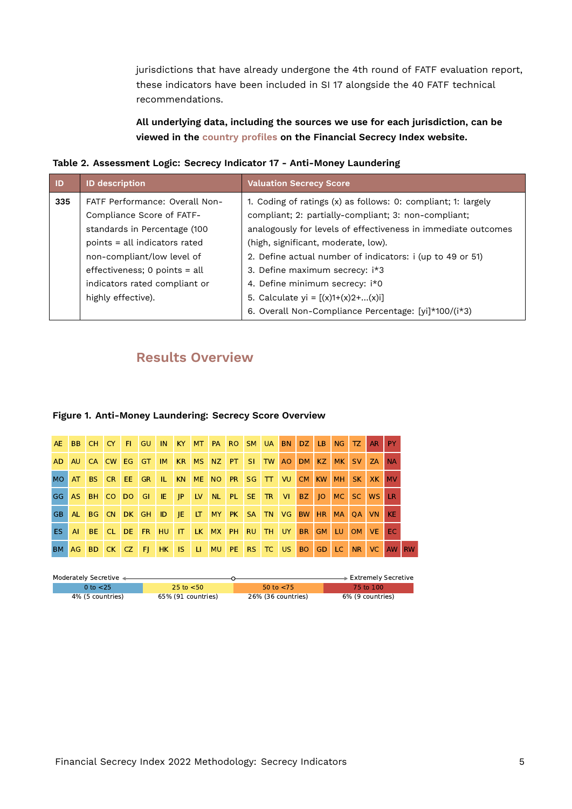jurisdictions that have already undergone the 4th round of FATF evaluation report, these indicators have been included in SI 17 alongside the 40 FATF technical recommendations.

<span id="page-4-0"></span>**All underlying data, including the sources we use for each jurisdiction, can be viewed in the [country profiles](https://fsi.taxjustice.net/country-detail) on the Financial Secrecy Index website.**

**Table 2. Assessment Logic: Secrecy Indicator 17 - Anti-Money Laundering**

| <b>ID</b> | <b>ID description</b>           | <b>Valuation Secrecy Score</b>                                |  |  |  |  |  |
|-----------|---------------------------------|---------------------------------------------------------------|--|--|--|--|--|
| 335       | FATF Performance: Overall Non-  | 1. Coding of ratings (x) as follows: 0: compliant; 1: largely |  |  |  |  |  |
|           | Compliance Score of FATF-       | compliant; 2: partially-compliant; 3: non-compliant;          |  |  |  |  |  |
|           | standards in Percentage (100    | analogously for levels of effectiveness in immediate outcomes |  |  |  |  |  |
|           | points = all indicators rated   | (high, significant, moderate, low).                           |  |  |  |  |  |
|           | non-compliant/low level of      | 2. Define actual number of indicators: i (up to 49 or 51)     |  |  |  |  |  |
|           | effectiveness; $0$ points = all | 3. Define maximum secrecy: i*3                                |  |  |  |  |  |
|           | indicators rated compliant or   | 4. Define minimum secrecy: i*0                                |  |  |  |  |  |
|           | highly effective).              | 5. Calculate yi = $[(x)1+(x)2+(x)]$                           |  |  |  |  |  |
|           |                                 | 6. Overall Non-Compliance Percentage: [yi]*100/(i*3)          |  |  |  |  |  |

### **Results Overview**

#### **Figure 1. Anti-Money Laundering: Secrecy Score Overview**

| AE.             |      |          |       |   |  |  | BB CH CY FIGU IN KY MT PA RO SM UA BN DZ LB NG TZ |  |             |                | AR PY     |           |  |
|-----------------|------|----------|-------|---|--|--|---------------------------------------------------|--|-------------|----------------|-----------|-----------|--|
| AD              |      | AU CA CW | EG GT | M |  |  | KR MS NZ PT SI TW                                 |  |             | AO DM KZ MK SV | ZA        | <b>NA</b> |  |
| MO <sub>1</sub> | AT   |          |       |   |  |  | BS CR EE GR IL KN ME NO PR SG TT VU CM KW MH      |  |             | SK I           | XK        | <b>MV</b> |  |
| GG.             |      |          |       |   |  |  | AS BH CO DO GI IE JP LV NL PL SE TR VI            |  | BZ 10 MC SC |                | <b>WS</b> | LR.       |  |
| GB.             | AL . |          |       |   |  |  | BG CN DK GH ID JE LT MY PK SA TN VG BW            |  |             | HR MA OA VN    |           | <b>KE</b> |  |
| ES.             | AL.  | BE CL    |       |   |  |  | DE FR HU IT LK MX PH RU TH UY                     |  |             | BR GM LU OM VE |           | EC.       |  |
| BM              |      |          |       |   |  |  | AG BD CK CZ FI HK IS LI MU PE RS TC US BO GD LC   |  |             | N <sub>R</sub> | VC.       | AW RW     |  |

| Moderately Secretive < |                    |                    | ∙ Extremely Secretive |
|------------------------|--------------------|--------------------|-----------------------|
| 0 to $<$ 25            | 25 to $<$ 50       | 50 to $<$ 75       | 75 to 100             |
| 4% (5 countries)       | 65% (91 countries) | 26% (36 countries) | 6% (9 countries)      |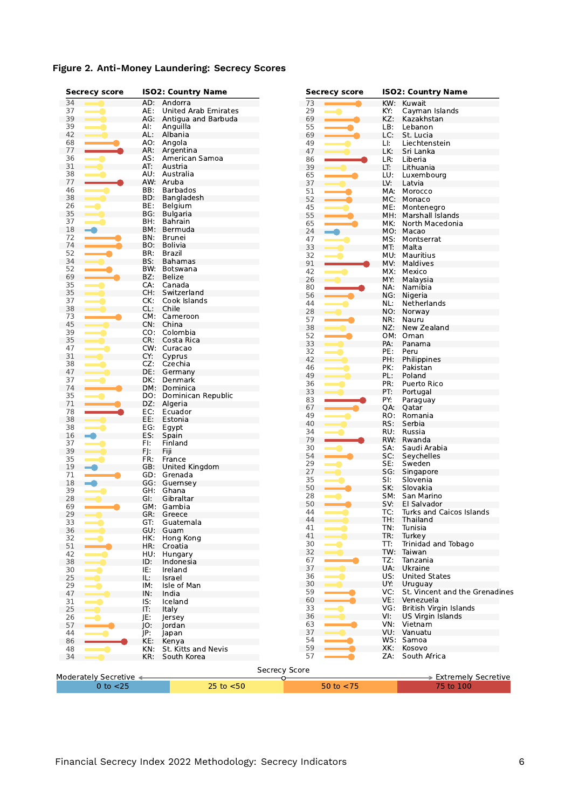| Figure 2. Anti-Money Laundering: Secrecy Scores |  |  |
|-------------------------------------------------|--|--|
|                                                 |  |  |

|          | <b>Secrecy score</b>   |            | <b>ISO2: Country Name</b>   |               | <b>Secrecy score</b> |            | <b>ISO2: Country Name</b>               |
|----------|------------------------|------------|-----------------------------|---------------|----------------------|------------|-----------------------------------------|
| 34       |                        | AD:        | Andorra                     | 73            |                      | KW:        | Kuwait                                  |
| 37       |                        | AE:        | <b>United Arab Emirates</b> | 29            |                      | KY:        | Cayman Islands                          |
| 39       |                        | AG.        | Antigua and Barbuda         | 69            |                      | KZ:        | Kazakhstan                              |
| 39       |                        | AI:        | Anguilla                    | 55            |                      | LB:        | Lebanon                                 |
| 42       |                        | AL:        | Albania                     | 69            |                      | LC:        | St. Lucia                               |
| 68       |                        | AO:        | Angola                      | 49            |                      | LI:        | Liechtenstein                           |
| 77       |                        | AR:        | Argentina                   | 47            |                      | LK:        | Sri Lanka                               |
| 36       |                        | AS:        | American Samoa              | 86            |                      | LR:        | Liberia                                 |
| 31       |                        | AT:        | Austria                     | 39            |                      | LT:        | Lithuania                               |
| 38       |                        | AU:        | Australia                   | 65            |                      | LU:        | Luxembourg                              |
| 77       |                        | AW:        | Aruba                       | 37            |                      | LV:        | Latvia                                  |
| 46       |                        | BB:        | <b>Barbados</b>             | 51            |                      | MA:        | Morocco                                 |
| 38       |                        | BD:        | Bangladesh                  | 52            |                      | MC:        | Monaco                                  |
| 26       |                        | BE:        | Belgium                     | 45            |                      | ME:        | Montenegro                              |
| 35<br>37 |                        | BG:        | <b>Bulgaria</b><br>Bahrain  | 55            |                      | MH.        | Marshall Islands                        |
| 18       |                        | BH:<br>BM: | Bermuda                     | 65            |                      | MK.        | North Macedonia                         |
| 72       |                        | BN:        | <b>Brunei</b>               | 24            |                      |            | MO: Macao                               |
| 74       |                        | BO:        | Bolivia                     | 47            |                      | MS:        | Montserrat                              |
| 52       |                        | BR:        | Brazil                      | 33            |                      | MT:        | Malta                                   |
| 34       |                        | BS:        | Bahamas                     | 32            |                      | MU:        | Mauritius                               |
| 52       |                        | BW:        | Botswana                    | 91            |                      | MV:        | Maldives                                |
| 69       |                        | BZ:        | <b>Belize</b>               | 42            |                      | MX:        | Mexico                                  |
| 35       |                        | CA:        | Canada                      | 26            |                      | MY:        | Malaysia                                |
| 35       |                        | CH:        | Switzerland                 | 80            |                      | NA:        | Namibia                                 |
| 37       |                        | CK:        | Cook Islands                | 56            |                      | NG:        | Nigeria                                 |
| 38       |                        | CL:        | Chile                       | 44            |                      | NL:        | Netherlands                             |
| 73       |                        |            | CM: Cameroon                | 28            |                      | NO:        | Norway                                  |
| 45       |                        | CN:        | China                       | 57            |                      | NR:        | Nauru                                   |
| 39       |                        | CO:        | Colombia                    | 38            |                      | NZ:        | New Zealand                             |
| 35       |                        | CR:        | Costa Rica                  | 52            |                      | OM:        | Oman                                    |
| 47       |                        |            | CW: Curacao                 | 33            |                      | PA:        | Panama                                  |
| 31       |                        | CY:        | Cyprus                      | 32            |                      | PE:        | Peru                                    |
| 38       |                        | CZ:        | Czechia                     | 42            |                      | PH:        | Philippines                             |
| 47       |                        | DE:        | Germany                     | 46            |                      | PK:        | Pakistan                                |
| 37       |                        | DK:        | Denmark                     | 49            |                      | PL:        | Poland                                  |
| 74       |                        |            | DM: Dominica                | 36            |                      | PR:        | Puerto Rico                             |
| 35       |                        | DO:        | Dominican Republic          | 33            |                      | PT:        | Portugal                                |
| 71       |                        | DZ:        | Algeria                     | 83            |                      | PY:        | Paraguay                                |
| 78       |                        | EC:        | Ecuador                     | 67            |                      | QA:        | Qatar                                   |
| 38       |                        | EE:        | Estonia                     | 49            |                      | RO:        | Romania                                 |
| 38       |                        | EG:        | Egypt                       | 40            |                      | RS:        | Serbia                                  |
| 16       |                        | ES:        | Spain                       | 34            |                      | RU.        | Russia                                  |
| 37       |                        | FI:        | Finland                     | 79            |                      | RW:        | Rwanda                                  |
| 39       |                        | FJ:        | Fiii                        | 30<br>54      |                      | SA:        | Saudi Arabia                            |
| 35       |                        | FR:        | France                      |               |                      | SC:        | Seychelles                              |
| 19       |                        | GB:        | United Kingdom              | 29<br>27      |                      | SE:        | Sweden                                  |
| 71       |                        | GD:        | Grenada                     | 35            |                      | SG:        | Singapore                               |
| 18       |                        | GG:        | Guernsey                    | 50            |                      | SI:<br>SK: | Slovenia<br>Slovakia                    |
| 39       |                        | GH:        | Ghana                       |               |                      |            |                                         |
| 28       |                        | GI:        | Gibraltar                   | 28<br>50      |                      | SM:<br>SV: | San Marino                              |
| 69       |                        |            | GM: Gambia                  | 44            |                      | TC:        | El Salvador<br>Turks and Caicos Islands |
| 29       |                        |            | GR: Greece                  | 44            |                      | TH.        | Thailand                                |
| 33       |                        | GT:        | Guatemala                   | 41            |                      | TN:        | Tunisia                                 |
| 36       |                        | GU:        | Guam                        | 41            |                      | TR:        | Turkey                                  |
| 32       |                        | HK:        | Hong Kong                   | 30            |                      | TT:        | Trinidad and Tobago                     |
| 51       |                        | HR:        | Croatia                     | 32            |                      |            | TW: Taiwan                              |
| 42       |                        | HU.        | Hungary                     | 67            |                      | TZ:        | Tanzania                                |
| 38       |                        | ID:        | Indonesia                   | 37            |                      | UA:        | Ukraine                                 |
| 30       |                        | IE:        | Ireland                     | 36            |                      | US:        | <b>United States</b>                    |
| 25       |                        | IL:        | Israel                      | 30            |                      | UY:        | Uruguay                                 |
| 29       |                        | IM:        | Isle of Man                 | 59            |                      | VC:        | St. Vincent and the Grenadines          |
| 47<br>31 |                        | IN:<br>IS: | India                       | 60            |                      | VE:        | Venezuela                               |
| 25       |                        | IT:        | Iceland<br>Italy            | 33            |                      | VG:        | British Virgin Islands                  |
| 26       |                        | JE:        |                             | 36            |                      | VI:        | US Virgin Islands                       |
| 57       |                        | IO:        | Jersey<br>Jordan            | 63            |                      |            | VN: Vietnam                             |
| 44       |                        | JP:        | lapan                       | 37            |                      |            | VU: Vanuatu                             |
| 86       |                        | KE:        | Kenya                       | 54            |                      |            | WS: Samoa                               |
| 48       |                        | KN:        | St. Kitts and Nevis         | 59            |                      | XK:        | Kosovo                                  |
| 34       |                        | KR:        | South Korea                 | 57            |                      | ZA:        | South Africa                            |
|          |                        |            |                             |               |                      |            |                                         |
|          |                        |            |                             | Secrecy Score |                      |            |                                         |
|          | Moderately Secretive < |            |                             | o             |                      |            | $\Rightarrow$ Extremely Secretive       |
|          | $0$ to $<$ 25          |            | $25$ to $< 50$              |               | 50 to $<$ 75         |            | 75 to 100                               |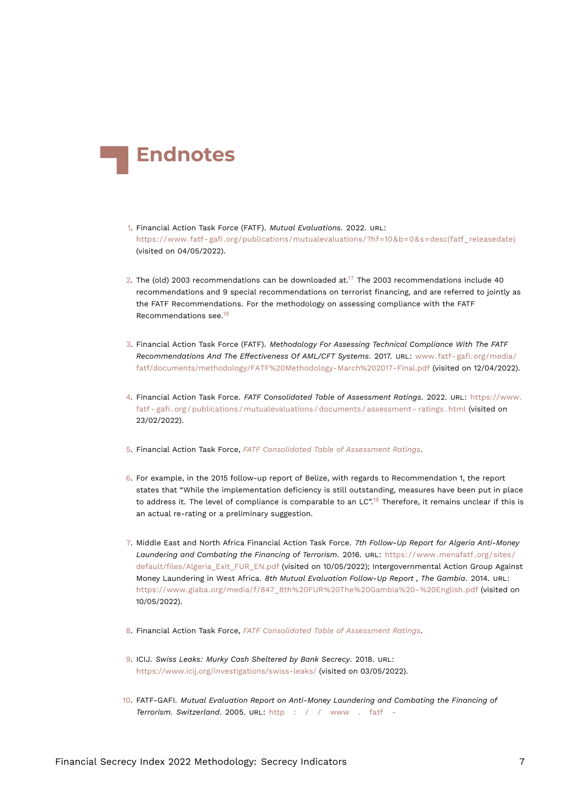<span id="page-6-14"></span>

- <span id="page-6-0"></span>[1.](#page-0-0) Financial Action Task Force (FATF). *Mutual Evaluations*. 2022. URL: [https://www.fatf- gafi.org/publications/mutualevaluations/?hf=10&b=0&s=desc\(fatf\\_releasedate\)](https://www.fatf-gafi.org/publications/mutualevaluations/?hf=10&b=0&s=desc(fatf_releasedate)) (visited on 04/05/2022).
- <span id="page-6-11"></span><span id="page-6-1"></span>[2.](#page-0-1) The (old) 2003 recommendations can be downloaded at.<sup>[17](#page-7-6)</sup> The 2003 recommendations include 40 recommendations and 9 special recommendations on terrorist financing, and are referred to jointly as the FATF Recommendations. For the methodology on assessing compliance with the FATF Recommendations see.[18](#page-7-7)
- <span id="page-6-12"></span><span id="page-6-2"></span>[3.](#page-1-1) Financial Action Task Force (FATF). *Methodology For Assessing Technical Compliance With The FATF Recommendations And The Effectiveness Of AML/CFT Systems*. 2017. URL: [www.fatf- gafi.org/media/](www.fatf-gafi.org/media/fatf/documents/methodology/FATF%20Methodology-March%202017-Final.pdf) [fatf/documents/methodology/FATF%20Methodology-March%202017-Final.pdf](www.fatf-gafi.org/media/fatf/documents/methodology/FATF%20Methodology-March%202017-Final.pdf) (visited on 12/04/2022).
- <span id="page-6-10"></span><span id="page-6-3"></span>[4.](#page-1-2) Financial Action Task Force. *FATF Consolidated Table of Assessment Ratings*. 2022. URL: [https://www.](https://www.fatf-gafi.org/publications/mutualevaluations/documents/assessment-ratings.html) [fatf - gafi . org / publications / mutualevaluations / documents / assessment - ratings . html](https://www.fatf-gafi.org/publications/mutualevaluations/documents/assessment-ratings.html) (visited on 23/02/2022).
- <span id="page-6-4"></span>[5.](#page-2-0) Financial Action Task Force, *[FATF Consolidated Table of Assessment Ratings](#page-6-10)*.
- <span id="page-6-13"></span><span id="page-6-5"></span>[6.](#page-2-1) For example, in the 2015 follow-up report of Belize, with regards to Recommendation 1, the report states that "While the implementation deficiency is still outstanding, measures have been put in place to address it. The level of compliance is comparable to an LC".<sup>[19](#page-7-8)</sup> Therefore, it remains unclear if this is an actual re-rating or a preliminary suggestion.
- <span id="page-6-6"></span>[7.](#page-2-2) Middle East and North Africa Financial Action Task Force. *7th Follow-Up Report for Algeria Anti-Money Laundering and Combating the Financing of Terrorism*. 2016. URL: [https://www.menafatf.org/sites/](https://www.menafatf.org/sites/default/files/Algeria_Exit_FUR_EN.pdf) [default/files/Algeria\\_Exit\\_FUR\\_EN.pdf](https://www.menafatf.org/sites/default/files/Algeria_Exit_FUR_EN.pdf) (visited on 10/05/2022); Intergovernmental Action Group Against Money Laundering in West Africa. *8th Mutual Evaluation Follow-Up Report , The Gambia*. 2014. URL: [https://www.giaba.org/media/f/847\\_8th%20FUR%20The%20Gambia%20-%20English.pdf](https://www.giaba.org/media/f/847_8th%20FUR%20The%20Gambia%20-%20English.pdf) (visited on 10/05/2022).
- <span id="page-6-7"></span>[8.](#page-2-3) Financial Action Task Force, *[FATF Consolidated Table of Assessment Ratings](#page-6-10)*.
- <span id="page-6-8"></span>[9.](#page-2-4) ICIJ. *Swiss Leaks: Murky Cash Sheltered by Bank Secrecy*. 2018. URL: <https://www.icij.org/investigations/swiss-leaks/> (visited on 03/05/2022).
- <span id="page-6-9"></span>[10.](#page-2-5) FATF-GAFI. *Mutual Evaluation Report on Anti-Money Laundering and Combating the Financing of Terrorism. Switzerland*. 2005. URL: [http : / / www . fatf -](http://www.fatf-gafi.org/media/fatf/documents/reports/mer/mer%20switzerland%20resume%20english.pdf)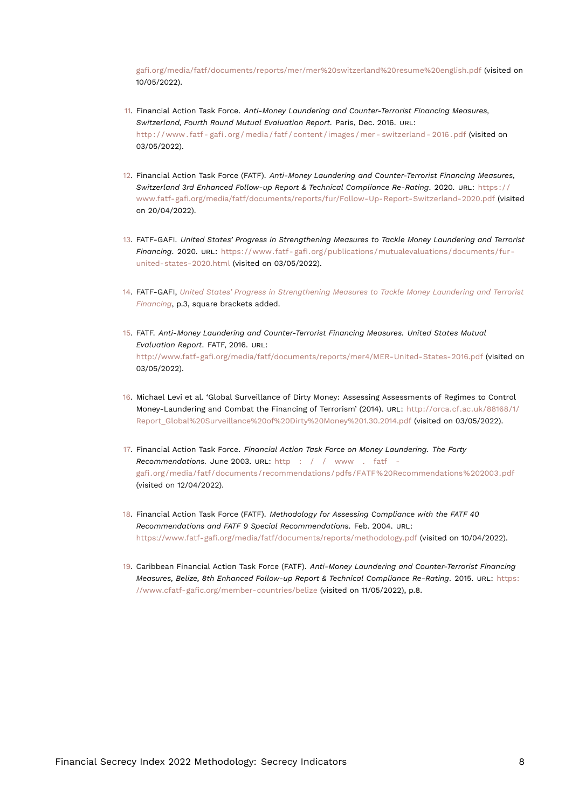<span id="page-7-10"></span>[gafi.org/media/fatf/documents/reports/mer/mer%20switzerland%20resume%20english.pdf](http://www.fatf-gafi.org/media/fatf/documents/reports/mer/mer%20switzerland%20resume%20english.pdf) (visited on 10/05/2022).

- <span id="page-7-0"></span>[11.](#page-3-0) Financial Action Task Force. *Anti-Money Laundering and Counter-Terrorist Financing Measures, Switzerland, Fourth Round Mutual Evaluation Report*. Paris, Dec. 2016. URL: [http : / / www . fatf - gafi . org / media / fatf / content / images / mer - switzerland - 2016 . pdf](http://www.fatf-gafi.org/media/fatf/content/images/mer-switzerland-2016.pdf) (visited on 03/05/2022).
- <span id="page-7-1"></span>[12.](#page-3-1) Financial Action Task Force (FATF). *Anti-Money Laundering and Counter-Terrorist Financing Measures, Switzerland 3rd Enhanced Follow-up Report & Technical Compliance Re-Rating*. 2020. URL: [https : / /](https://www.fatf-gafi.org/media/fatf/documents/reports/fur/Follow-Up-Report-Switzerland-2020.pdf) [www.fatf-gafi.org/media/fatf/documents/reports/fur/Follow-Up-Report-Switzerland-2020.pdf](https://www.fatf-gafi.org/media/fatf/documents/reports/fur/Follow-Up-Report-Switzerland-2020.pdf) (visited on 20/04/2022).
- <span id="page-7-9"></span><span id="page-7-2"></span>[13.](#page-3-2) FATF-GAFI. *United States' Progress in Strengthening Measures to Tackle Money Laundering and Terrorist Financing*. 2020. URL: [https://www.fatf- gafi.org/publications/mutualevaluations/documents/fur](https://www.fatf-gafi.org/publications/mutualevaluations/documents/fur-united-states-2020.html)[united-states-2020.html](https://www.fatf-gafi.org/publications/mutualevaluations/documents/fur-united-states-2020.html) (visited on 03/05/2022).
- <span id="page-7-3"></span>[14.](#page-3-3) FATF-GAFI, *[United States' Progress in Strengthening Measures to Tackle Money Laundering and Terrorist](#page-7-9) [Financing](#page-7-9)*, p.3, square brackets added.
- <span id="page-7-4"></span>[15.](#page-3-4) FATF. *Anti-Money Laundering and Counter-Terrorist Financing Measures. United States Mutual Evaluation Report*. FATF, 2016. URL: <http://www.fatf-gafi.org/media/fatf/documents/reports/mer4/MER-United-States-2016.pdf> (visited on 03/05/2022).
- <span id="page-7-5"></span>[16.](#page-3-5) Michael Levi et al. 'Global Surveillance of Dirty Money: Assessing Assessments of Regimes to Control Money-Laundering and Combat the Financing of Terrorism' (2014). URL: [http://orca.cf.ac.uk/88168/1/](http://orca.cf.ac.uk/88168/1/Report_Global%20Surveillance%20of%20Dirty%20Money%201.30.2014.pdf) [Report\\_Global%20Surveillance%20of%20Dirty%20Money%201.30.2014.pdf](http://orca.cf.ac.uk/88168/1/Report_Global%20Surveillance%20of%20Dirty%20Money%201.30.2014.pdf) (visited on 03/05/2022).
- <span id="page-7-6"></span>[17.](#page-6-11) Financial Action Task Force. *Financial Action Task Force on Money Laundering. The Forty Recommendations.* June 2003. URL: [http : / / www . fatf](http://www.fatf-gafi.org/media/fatf/documents/recommendations/pdfs/FATF%20Recommendations%202003.pdf)  [gafi.org/media/fatf/documents/recommendations/pdfs/FATF%20Recommendations%202003.pdf](http://www.fatf-gafi.org/media/fatf/documents/recommendations/pdfs/FATF%20Recommendations%202003.pdf) (visited on 12/04/2022).
- <span id="page-7-7"></span>[18.](#page-6-12) Financial Action Task Force (FATF). *Methodology for Assessing Compliance with the FATF 40 Recommendations and FATF 9 Special Recommendations*. Feb. 2004. URL: <https://www.fatf-gafi.org/media/fatf/documents/reports/methodology.pdf> (visited on 10/04/2022).
- <span id="page-7-8"></span>[19.](#page-6-13) Caribbean Financial Action Task Force (FATF). *Anti-Money Laundering and Counter-Terrorist Financing Measures, Belize, 8th Enhanced Follow-up Report & Technical Compliance Re-Rating*. 2015. URL: [https:](https://www.cfatf-gafic.org/member-countries/belize) [//www.cfatf-gafic.org/member-countries/belize](https://www.cfatf-gafic.org/member-countries/belize) (visited on 11/05/2022), p.8.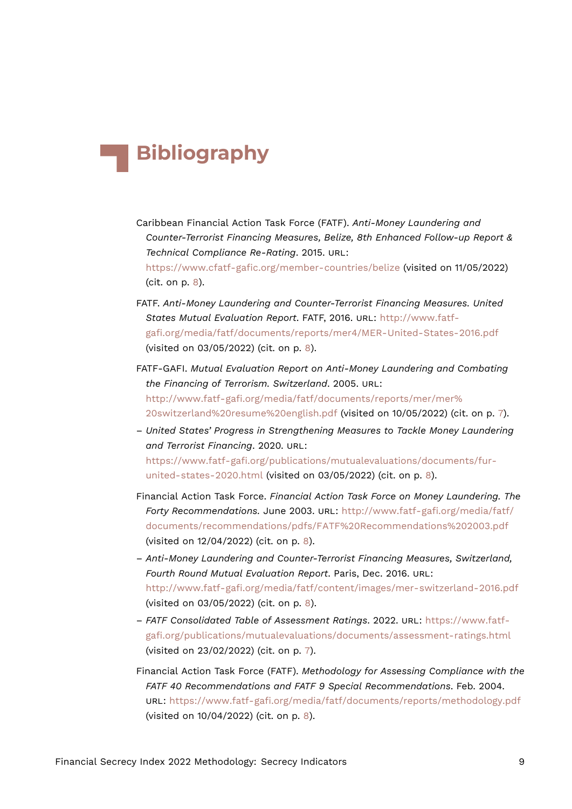## **Bibliography**

- Caribbean Financial Action Task Force (FATF). *Anti-Money Laundering and Counter-Terrorist Financing Measures, Belize, 8th Enhanced Follow-up Report & Technical Compliance Re-Rating*. 2015. URL: <https://www.cfatf-gafic.org/member-countries/belize> (visited on 11/05/2022)
- (cit. on p. [8\)](#page-7-10).
- FATF. *Anti-Money Laundering and Counter-Terrorist Financing Measures. United States Mutual Evaluation Report*. FATF, 2016. URL: [http://www.fatf](http://www.fatf-gafi.org/media/fatf/documents/reports/mer4/MER-United-States-2016.pdf)[gafi.org/media/fatf/documents/reports/mer4/MER-United-States-2016.pdf](http://www.fatf-gafi.org/media/fatf/documents/reports/mer4/MER-United-States-2016.pdf) (visited on 03/05/2022) (cit. on p. [8\)](#page-7-10).
- FATF-GAFI. *Mutual Evaluation Report on Anti-Money Laundering and Combating the Financing of Terrorism. Switzerland*. 2005. URL: [http://www.fatf-gafi.org/media/fatf/documents/reports/mer/mer%](http://www.fatf-gafi.org/media/fatf/documents/reports/mer/mer%20switzerland%20resume%20english.pdf) [20switzerland%20resume%20english.pdf](http://www.fatf-gafi.org/media/fatf/documents/reports/mer/mer%20switzerland%20resume%20english.pdf) (visited on 10/05/2022) (cit. on p. [7](#page-6-14)).
- *United States' Progress in Strengthening Measures to Tackle Money Laundering and Terrorist Financing*. 2020. URL: [https://www.fatf-gafi.org/publications/mutualevaluations/documents/fur](https://www.fatf-gafi.org/publications/mutualevaluations/documents/fur-united-states-2020.html)[united-states-2020.html](https://www.fatf-gafi.org/publications/mutualevaluations/documents/fur-united-states-2020.html) (visited on 03/05/2022) (cit. on p. [8\)](#page-7-10).
- Financial Action Task Force. *Financial Action Task Force on Money Laundering. The Forty Recommendations.* June 2003. URL: [http://www.fatf-gafi.org/media/fatf/](http://www.fatf-gafi.org/media/fatf/documents/recommendations/pdfs/FATF%20Recommendations%202003.pdf) [documents/recommendations/pdfs/FATF%20Recommendations%202003.pdf](http://www.fatf-gafi.org/media/fatf/documents/recommendations/pdfs/FATF%20Recommendations%202003.pdf) (visited on 12/04/2022) (cit. on p. [8\)](#page-7-10).
- *Anti-Money Laundering and Counter-Terrorist Financing Measures, Switzerland, Fourth Round Mutual Evaluation Report*. Paris, Dec. 2016. URL: <http://www.fatf-gafi.org/media/fatf/content/images/mer-switzerland-2016.pdf> (visited on 03/05/2022) (cit. on p. [8\)](#page-7-10).
- *FATF Consolidated Table of Assessment Ratings*. 2022. URL: [https://www.fatf](https://www.fatf-gafi.org/publications/mutualevaluations/documents/assessment-ratings.html)[gafi.org/publications/mutualevaluations/documents/assessment-ratings.html](https://www.fatf-gafi.org/publications/mutualevaluations/documents/assessment-ratings.html) (visited on 23/02/2022) (cit. on p. [7\)](#page-6-14).
- Financial Action Task Force (FATF). *Methodology for Assessing Compliance with the FATF 40 Recommendations and FATF 9 Special Recommendations*. Feb. 2004. URL: <https://www.fatf-gafi.org/media/fatf/documents/reports/methodology.pdf> (visited on 10/04/2022) (cit. on p. [8\)](#page-7-10).